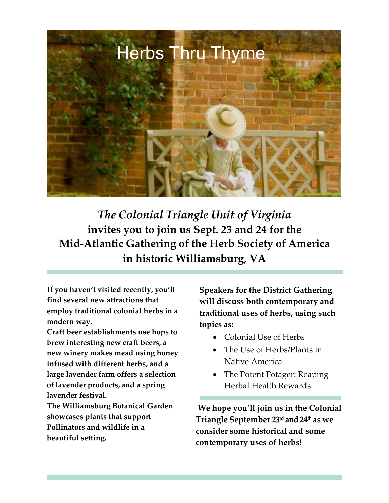

*The Colonial Triangle Unit of Virginia* **invites you to join us Sept. 23 and 24 for the Mid-Atlantic Gathering of the Herb Society of America in historic Williamsburg, VA**

**If you haven't visited recently, you'll find several new attractions that employ traditional colonial herbs in a modern way.**

**Craft beer establishments use hops to brew interesting new craft beers, a new winery makes mead using honey infused with different herbs, and a large lavender farm offers a selection of lavender products, and a spring lavender festival.** 

**The Williamsburg Botanical Garden showcases plants that support Pollinators and wildlife in a beautiful setting.**

**Speakers for the District Gathering will discuss both contemporary and traditional uses of herbs, using such topics as:**

- Colonial Use of Herbs
- The Use of Herbs/Plants in Native America
- The Potent Potager: Reaping Herbal Health Rewards

**We hope you'll join us in the Colonial Triangle September 23rd and 24th as we consider some historical and some contemporary uses of herbs!**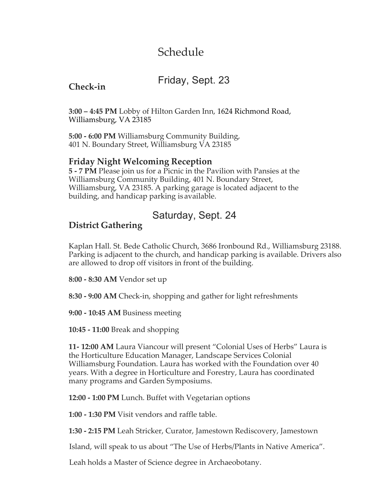# Schedule

## Friday, Sept. 23

### **Check-in**

**3:00 – 4:45 PM** Lobby of Hilton Garden Inn, 1624 Richmond Road, Williamsburg, VA 23185

**5:00 - 6:00 PM** Williamsburg Community Building, 401 N. Boundary Street, Williamsburg VA 23185

### **Friday Night Welcoming Reception**

**5 - 7 PM** Please join us for a Picnic in the Pavilion with Pansies at the Williamsburg Community Building, 401 N. Boundary Street, Williamsburg, VA 23185. A parking garage is located adjacent to the building, and handicap parking is available.

## Saturday, Sept. 24

### **District Gathering**

Kaplan Hall. St. Bede Catholic Church, 3686 Ironbound Rd., Williamsburg 23188. Parking is adjacent to the church, and handicap parking is available. Drivers also are allowed to drop off visitors in front of the building.

**8:00 - 8:30 AM** Vendor set up

**8:30 - 9:00 AM** Check-in, shopping and gather for light refreshments

**9:00 - 10:45 AM** Business meeting

**10:45 - 11:00** Break and shopping

**11- 12:00 AM** Laura Viancour will present "Colonial Uses of Herbs" Laura is the Horticulture Education Manager, Landscape Services Colonial Williamsburg Foundation. Laura has worked with the Foundation over 40 years. With a degree in Horticulture and Forestry, Laura has coordinated many programs and Garden Symposiums.

**12:00 - 1:00 PM** Lunch. Buffet with Vegetarian options

**1:00 - 1:30 PM** Visit vendors and raffle table.

**1:30 - 2:15 PM** Leah Stricker, Curator, Jamestown Rediscovery, Jamestown

Island, will speak to us about "The Use of Herbs/Plants in Native America".

Leah holds a Master of Science degree in Archaeobotany.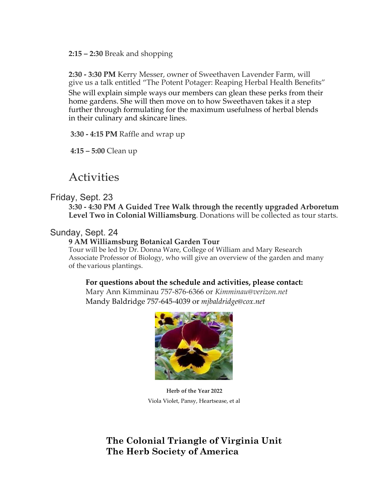**2:15 – 2:30** Break and shopping

**2:30 - 3:30 PM** Kerry Messer, owner of Sweethaven Lavender Farm, will give us a talk entitled "The Potent Potager: Reaping Herbal Health Benefits" She will explain simple ways our members can glean these perks from their home gardens. She will then move on to how Sweethaven takes it a step further through formulating for the maximum usefulness of herbal blends in their culinary and skincare lines.

**3:30 - 4:15 PM** Raffle and wrap up

**4:15 – 5:00** Clean up

## Activities

#### Friday, Sept. 23

**3:30 - 4:30 PM A Guided Tree Walk through the recently upgraded Arboretum Level Two in Colonial Williamsburg**. Donations will be collected as tour starts.

#### Sunday, Sept. 24

#### **9 AM Williamsburg Botanical Garden Tour**

Tour will be led by Dr. Donna Ware, College of William and Mary Research Associate Professor of Biology, who will give an overview of the garden and many of the various plantings.

#### **For questions about the schedule and activities, please contact:**

Mary Ann Kimminau 757-876-6366 or *[Kimminau@verizon.net](mailto:Kimminau@verizon.net)* Mandy Baldridge 757-645-4039 or *[mjbaldridge@cox.net](mailto:mjbaldridge@cox.net)*



**Herb of the Year 2022** Viola Violet, Pansy, Heartsease, et al

### **The Colonial Triangle of Virginia Unit The Herb Society of America**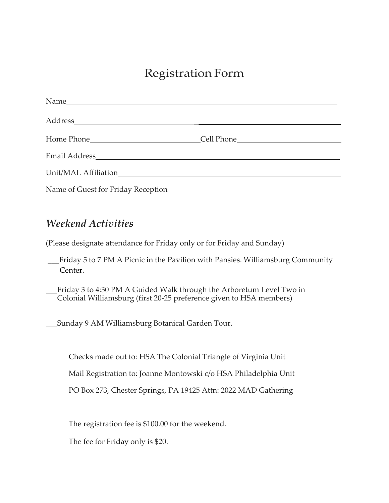# Registration Form

## *Weekend Activities*

(Please designate attendance for Friday only or for Friday and Sunday)

- \_\_\_Friday 5 to 7 PM A Picnic in the Pavilion with Pansies. Williamsburg Community Center.
- Friday 3 to 4:30 PM A Guided Walk through the Arboretum Level Two in Colonial Williamsburg (first 20-25 preference given to HSA members)

Sunday 9 AM Williamsburg Botanical Garden Tour.

Checks made out to: HSA The Colonial Triangle of Virginia Unit

Mail Registration to: Joanne Montowski c/o HSA Philadelphia Unit

PO Box 273, Chester Springs, PA 19425 Attn: 2022 MAD Gathering

The registration fee is \$100.00 for the weekend.

The fee for Friday only is \$20.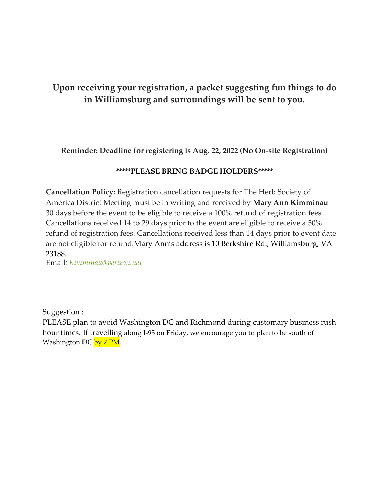### **Upon receiving your registration, a packet suggesting fun things to do in Williamsburg and surroundings will be sent to you.**

**Reminder: Deadline for registering is Aug. 22, 2022 (No On-site Registration)**

#### \*\*\*\*\***PLEASE BRING BADGE HOLDERS**\*\*\*\*\*

**Cancellation Policy:** Registration cancellation requests for The Herb Society of America District Meeting must be in writing and received by **Mary Ann Kimminau**  30 days before the event to be eligible to receive a 100% refund of registration fees. Cancellations received 14 to 29 days prior to the event are eligible to receive a 50% refund of registration fees. Cancellations received less than 14 days prior to event date are not eligible for refund.Mary Ann's address is 10 Berkshire Rd., Williamsburg, VA 23188.

Email*: [Kimminau@verizon.net](mailto:Kimminau@verizon.net)*

Suggestion :

PLEASE plan to avoid Washington DC and Richmond during customary business rush hour times. If travelling along I-95 on Friday, we encourage you to plan to be south of Washington DC by 2 PM.